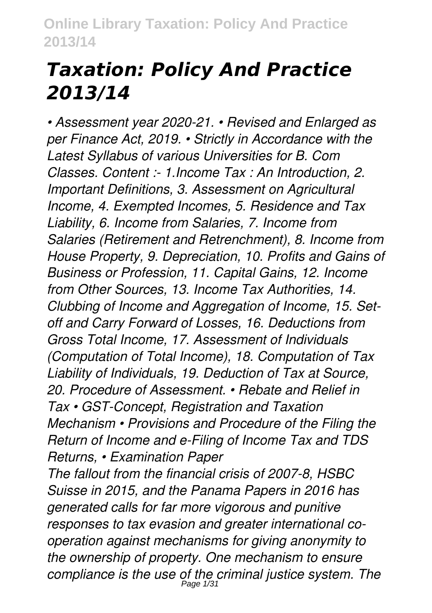# *Taxation: Policy And Practice 2013/14*

*• Assessment year 2020-21. • Revised and Enlarged as per Finance Act, 2019. • Strictly in Accordance with the Latest Syllabus of various Universities for B. Com Classes. Content :- 1.Income Tax : An Introduction, 2. Important Definitions, 3. Assessment on Agricultural Income, 4. Exempted Incomes, 5. Residence and Tax Liability, 6. Income from Salaries, 7. Income from Salaries (Retirement and Retrenchment), 8. Income from House Property, 9. Depreciation, 10. Profits and Gains of Business or Profession, 11. Capital Gains, 12. Income from Other Sources, 13. Income Tax Authorities, 14. Clubbing of Income and Aggregation of Income, 15. Setoff and Carry Forward of Losses, 16. Deductions from Gross Total Income, 17. Assessment of Individuals (Computation of Total Income), 18. Computation of Tax Liability of Individuals, 19. Deduction of Tax at Source, 20. Procedure of Assessment. • Rebate and Relief in Tax • GST-Concept, Registration and Taxation Mechanism • Provisions and Procedure of the Filing the Return of Income and e-Filing of Income Tax and TDS Returns, • Examination Paper*

*The fallout from the financial crisis of 2007-8, HSBC Suisse in 2015, and the Panama Papers in 2016 has generated calls for far more vigorous and punitive responses to tax evasion and greater international cooperation against mechanisms for giving anonymity to the ownership of property. One mechanism to ensure compliance is the use of the criminal justice system. The* Page 1/31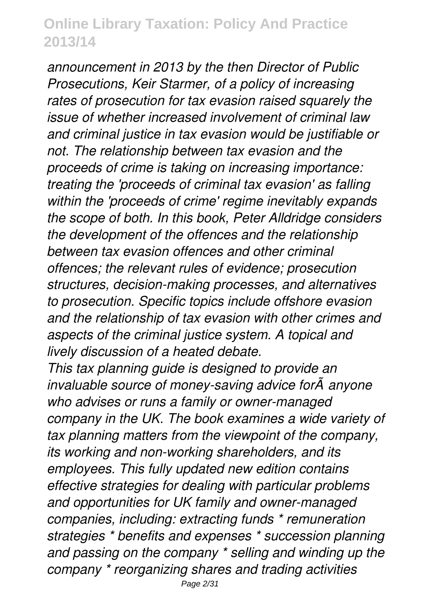*announcement in 2013 by the then Director of Public Prosecutions, Keir Starmer, of a policy of increasing rates of prosecution for tax evasion raised squarely the issue of whether increased involvement of criminal law and criminal justice in tax evasion would be justifiable or not. The relationship between tax evasion and the proceeds of crime is taking on increasing importance: treating the 'proceeds of criminal tax evasion' as falling within the 'proceeds of crime' regime inevitably expands the scope of both. In this book, Peter Alldridge considers the development of the offences and the relationship between tax evasion offences and other criminal offences; the relevant rules of evidence; prosecution structures, decision-making processes, and alternatives to prosecution. Specific topics include offshore evasion and the relationship of tax evasion with other crimes and aspects of the criminal justice system. A topical and lively discussion of a heated debate.*

*This tax planning guide is designed to provide an invaluable source of money-saving advice for* $\tilde{A}^2$ anyone *who advises or runs a family or owner-managed company in the UK. The book examines a wide variety of tax planning matters from the viewpoint of the company, its working and non-working shareholders, and its employees. This fully updated new edition contains effective strategies for dealing with particular problems and opportunities for UK family and owner-managed companies, including: extracting funds \* remuneration strategies \* benefits and expenses \* succession planning and passing on the company \* selling and winding up the company \* reorganizing shares and trading activities*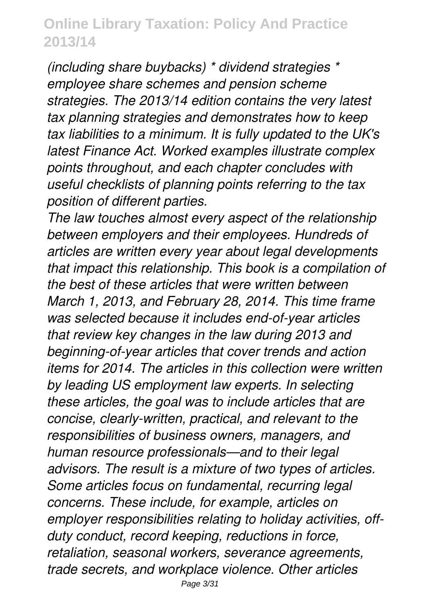*(including share buybacks) \* dividend strategies \* employee share schemes and pension scheme strategies. The 2013/14 edition contains the very latest tax planning strategies and demonstrates how to keep tax liabilities to a minimum. It is fully updated to the UK's latest Finance Act. Worked examples illustrate complex points throughout, and each chapter concludes with useful checklists of planning points referring to the tax position of different parties.*

*The law touches almost every aspect of the relationship between employers and their employees. Hundreds of articles are written every year about legal developments that impact this relationship. This book is a compilation of the best of these articles that were written between March 1, 2013, and February 28, 2014. This time frame was selected because it includes end-of-year articles that review key changes in the law during 2013 and beginning-of-year articles that cover trends and action items for 2014. The articles in this collection were written by leading US employment law experts. In selecting these articles, the goal was to include articles that are concise, clearly-written, practical, and relevant to the responsibilities of business owners, managers, and human resource professionals—and to their legal advisors. The result is a mixture of two types of articles. Some articles focus on fundamental, recurring legal concerns. These include, for example, articles on employer responsibilities relating to holiday activities, offduty conduct, record keeping, reductions in force, retaliation, seasonal workers, severance agreements, trade secrets, and workplace violence. Other articles*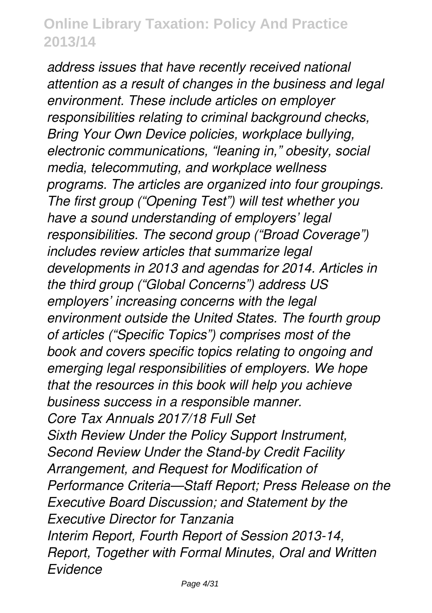*address issues that have recently received national attention as a result of changes in the business and legal environment. These include articles on employer responsibilities relating to criminal background checks, Bring Your Own Device policies, workplace bullying, electronic communications, "leaning in," obesity, social media, telecommuting, and workplace wellness programs. The articles are organized into four groupings. The first group ("Opening Test") will test whether you have a sound understanding of employers' legal responsibilities. The second group ("Broad Coverage") includes review articles that summarize legal developments in 2013 and agendas for 2014. Articles in the third group ("Global Concerns") address US employers' increasing concerns with the legal environment outside the United States. The fourth group of articles ("Specific Topics") comprises most of the book and covers specific topics relating to ongoing and emerging legal responsibilities of employers. We hope that the resources in this book will help you achieve business success in a responsible manner. Core Tax Annuals 2017/18 Full Set Sixth Review Under the Policy Support Instrument, Second Review Under the Stand-by Credit Facility Arrangement, and Request for Modification of Performance Criteria—Staff Report; Press Release on the Executive Board Discussion; and Statement by the Executive Director for Tanzania Interim Report, Fourth Report of Session 2013-14, Report, Together with Formal Minutes, Oral and Written Evidence*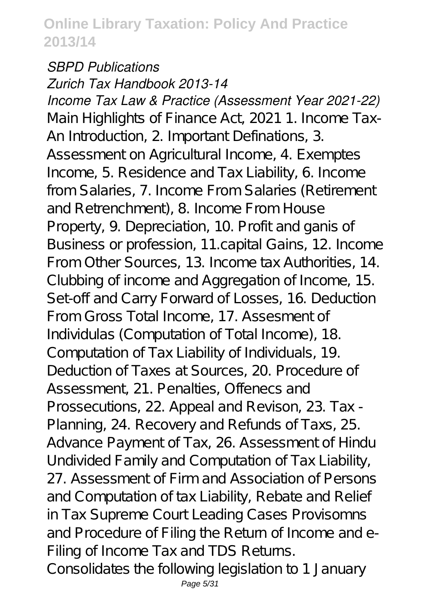#### *SBPD Publications Zurich Tax Handbook 2013-14*

*Income Tax Law & Practice (Assessment Year 2021-22)* Main Highlights of Finance Act, 2021 1. Income Tax-An Introduction, 2. Important Definations, 3. Assessment on Agricultural Income, 4. Exemptes Income, 5. Residence and Tax Liability, 6. Income from Salaries, 7. Income From Salaries (Retirement and Retrenchment), 8. Income From House Property, 9. Depreciation, 10. Profit and ganis of Business or profession, 11.capital Gains, 12. Income From Other Sources, 13. Income tax Authorities, 14. Clubbing of income and Aggregation of Income, 15. Set-off and Carry Forward of Losses, 16. Deduction From Gross Total Income, 17. Assesment of Individulas (Computation of Total Income), 18.

Computation of Tax Liability of Individuals, 19. Deduction of Taxes at Sources, 20. Procedure of Assessment, 21. Penalties, Offenecs and Prossecutions, 22. Appeal and Revison, 23. Tax - Planning, 24. Recovery and Refunds of Taxs, 25. Advance Payment of Tax, 26. Assessment of Hindu Undivided Family and Computation of Tax Liability, 27. Assessment of Firm and Association of Persons and Computation of tax Liability, Rebate and Relief in Tax Supreme Court Leading Cases Provisomns and Procedure of Filing the Return of Income and e-Filing of Income Tax and TDS Returns. Consolidates the following legislation to 1 January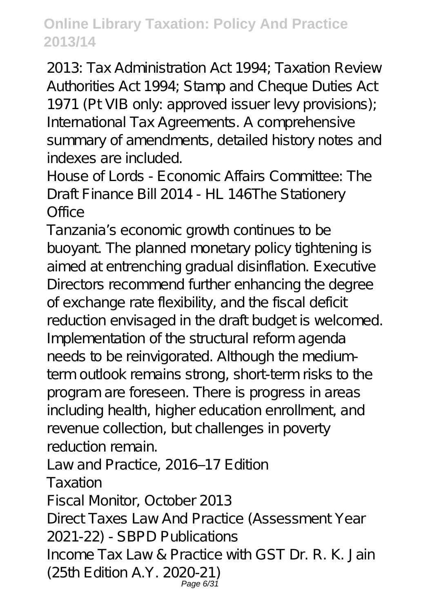2013: Tax Administration Act 1994; Taxation Review Authorities Act 1994; Stamp and Cheque Duties Act 1971 (Pt VIB only: approved issuer levy provisions); International Tax Agreements. A comprehensive summary of amendments, detailed history notes and indexes are included.

House of Lords - Economic Affairs Committee: The Draft Finance Bill 2014 - HL 146The Stationery Office

Tanzania's economic growth continues to be buoyant. The planned monetary policy tightening is aimed at entrenching gradual disinflation. Executive Directors recommend further enhancing the degree of exchange rate flexibility, and the fiscal deficit reduction envisaged in the draft budget is welcomed. Implementation of the structural reform agenda needs to be reinvigorated. Although the mediumterm outlook remains strong, short-term risks to the program are foreseen. There is progress in areas including health, higher education enrollment, and revenue collection, but challenges in poverty reduction remain.

Law and Practice, 2016-17 Edition

Taxation

Fiscal Monitor, October 2013

Direct Taxes Law And Practice (Assessment Year 2021-22) - SBPD Publications

Income Tax Law & Practice with GST Dr. R. K. Jain (25th Edition A.Y. 2020-21) Page 6/31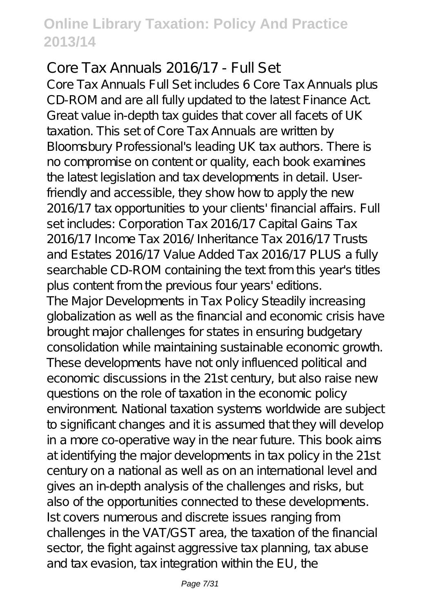Core Tax Annuals 2016/17 - Full Set Core Tax Annuals Full Set includes 6 Core Tax Annuals plus CD-ROM and are all fully updated to the latest Finance Act. Great value in-depth tax guides that cover all facets of UK taxation. This set of Core Tax Annuals are written by Bloomsbury Professional's leading UK tax authors. There is no compromise on content or quality, each book examines the latest legislation and tax developments in detail. Userfriendly and accessible, they show how to apply the new 2016/17 tax opportunities to your clients' financial affairs. Full set includes: Corporation Tax 2016/17 Capital Gains Tax 2016/17 Income Tax 2016/ Inheritance Tax 2016/17 Trusts and Estates 2016/17 Value Added Tax 2016/17 PLUS a fully searchable CD-ROM containing the text from this year's titles plus content from the previous four years' editions. The Major Developments in Tax Policy Steadily increasing globalization as well as the financial and economic crisis have brought major challenges for states in ensuring budgetary consolidation while maintaining sustainable economic growth. These developments have not only influenced political and economic discussions in the 21st century, but also raise new questions on the role of taxation in the economic policy environment. National taxation systems worldwide are subject to significant changes and it is assumed that they will develop in a more co-operative way in the near future. This book aims at identifying the major developments in tax policy in the 21st century on a national as well as on an international level and gives an in-depth analysis of the challenges and risks, but also of the opportunities connected to these developments. Ist covers numerous and discrete issues ranging from challenges in the VAT/GST area, the taxation of the financial sector, the fight against aggressive tax planning, tax abuse and tax evasion, tax integration within the EU, the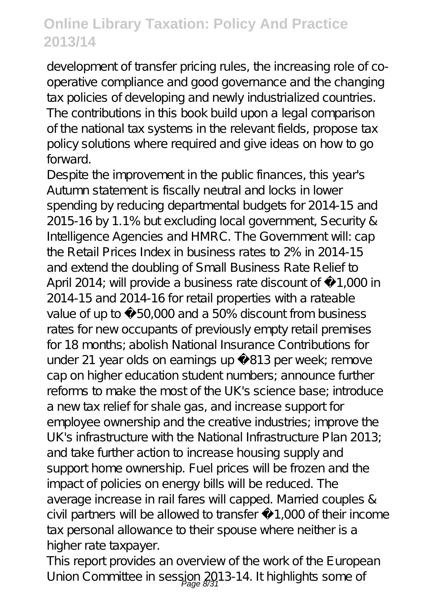development of transfer pricing rules, the increasing role of cooperative compliance and good governance and the changing tax policies of developing and newly industrialized countries. The contributions in this book build upon a legal comparison of the national tax systems in the relevant fields, propose tax policy solutions where required and give ideas on how to go forward.

Despite the improvement in the public finances, this year's Autumn statement is fiscally neutral and locks in lower spending by reducing departmental budgets for 2014-15 and 2015-16 by 1.1% but excluding local government, Security & Intelligence Agencies and HMRC. The Government will: cap the Retail Prices Index in business rates to 2% in 2014-15 and extend the doubling of Small Business Rate Relief to April 2014; will provide a business rate discount of £1,000 in 2014-15 and 2014-16 for retail properties with a rateable value of up to £50,000 and a 50% discount from business rates for new occupants of previously empty retail premises for 18 months; abolish National Insurance Contributions for under 21 year olds on earnings up £813 per week; remove cap on higher education student numbers; announce further reforms to make the most of the UK's science base; introduce a new tax relief for shale gas, and increase support for employee ownership and the creative industries; improve the UK's infrastructure with the National Infrastructure Plan 2013; and take further action to increase housing supply and support home ownership. Fuel prices will be frozen and the impact of policies on energy bills will be reduced. The average increase in rail fares will capped. Married couples & civil partners will be allowed to transfer £1,000 of their income tax personal allowance to their spouse where neither is a higher rate taxpayer.

This report provides an overview of the work of the European Union Committee in session 2013-14. It highlights some of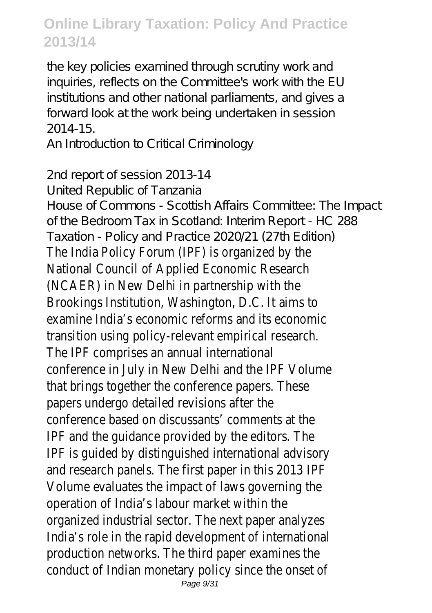the key policies examined through scrutiny work and inquiries, reflects on the Committee's work with the EU institutions and other national parliaments, and gives a forward look at the work being undertaken in session 2014-15.

An Introduction to Critical Criminology

2nd report of session 2013-14 United Republic of Tanzania House of Commons - Scottish Affairs Committee: The Impact of the Bedroom Tax in Scotland: Interim Report - HC 288 Taxation - Policy and Practice 2020/21 (27th Edition) The India Policy Forum (IPF) is organized by the National Council of Applied Economic Research (NCAER) in New Delhi in partnership with the Brookings Institution, Washington, D.C. It aims to examine India's economic reforms and its economic transition using policy-relevant empirical research. The IPF comprises an annual international conference in July in New Delhi and the IPF Volume that brings together the conference papers. These papers undergo detailed revisions after the conference based on discussants' comments at the IPF and the guidance provided by the editors. The IPF is guided by distinguished international advisory and research panels. The first paper in this 2013 IPF Volume evaluates the impact of laws governing the operation of India's labour market within the organized industrial sector. The next paper analyzes India's role in the rapid development of international production networks. The third paper examines the conduct of Indian monetary policy since the onset of Page 9/31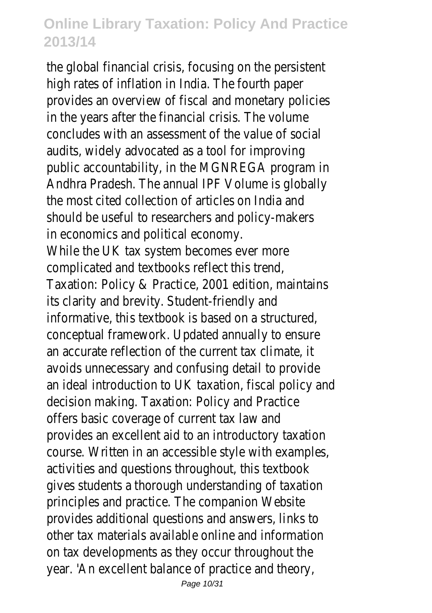the global financial crisis, focusing on the persistent high rates of inflation in India. The fourth paper provides an overview of fiscal and monetary policies in the years after the financial crisis. The volume concludes with an assessment of the value of social audits, widely advocated as a tool for improving public accountability, in the MGNREGA program in Andhra Pradesh. The annual IPF Volume is globally the most cited collection of articles on India and should be useful to researchers and policy-makers in economics and political economy. While the UK tax system becomes ever more complicated and textbooks reflect this trend, Taxation: Policy & Practice, 2001 edition, maintains its clarity and brevity. Student-friendly and informative, this textbook is based on a structured, conceptual framework. Updated annually to ensure an accurate reflection of the current tax climate, it avoids unnecessary and confusing detail to provide an ideal introduction to UK taxation, fiscal policy and decision making. Taxation: Policy and Practice offers basic coverage of current tax law and provides an excellent aid to an introductory taxation course. Written in an accessible style with examples, activities and questions throughout, this textbook gives students a thorough understanding of taxation principles and practice. The companion Website provides additional questions and answers, links to other tax materials available online and information on tax developments as they occur throughout the year. 'An excellent balance of practice and theory,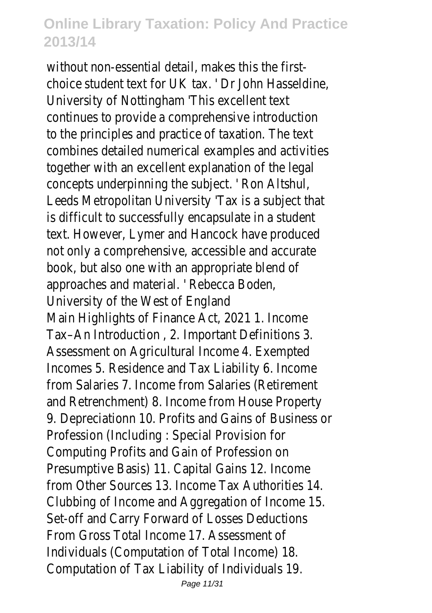without non-essential detail, makes this the firstchoice student text for UK tax. ' Dr John Hasseldine, University of Nottingham 'This excellent text continues to provide a comprehensive introduction to the principles and practice of taxation. The text combines detailed numerical examples and activities together with an excellent explanation of the legal concepts underpinning the subject. ' Ron Altshul, Leeds Metropolitan University 'Tax is a subject that is difficult to successfully encapsulate in a student text. However, Lymer and Hancock have produced not only a comprehensive, accessible and accurate book, but also one with an appropriate blend of approaches and material. ' Rebecca Boden, University of the West of England Main Highlights of Finance Act, 2021 1. Income Tax–An Introduction , 2. Important Definitions 3. Assessment on Agricultural Income 4. Exempted Incomes 5. Residence and Tax Liability 6. Income from Salaries 7. Income from Salaries (Retirement and Retrenchment) 8. Income from House Property 9. Depreciationn 10. Profits and Gains of Business or Profession (Including : Special Provision for Computing Profits and Gain of Profession on Presumptive Basis) 11. Capital Gains 12. Income from Other Sources 13. Income Tax Authorities 14. Clubbing of Income and Aggregation of Income 15. Set-off and Carry Forward of Losses Deductions From Gross Total Income 17. Assessment of Individuals (Computation of Total Income) 18. Computation of Tax Liability of Individuals 19.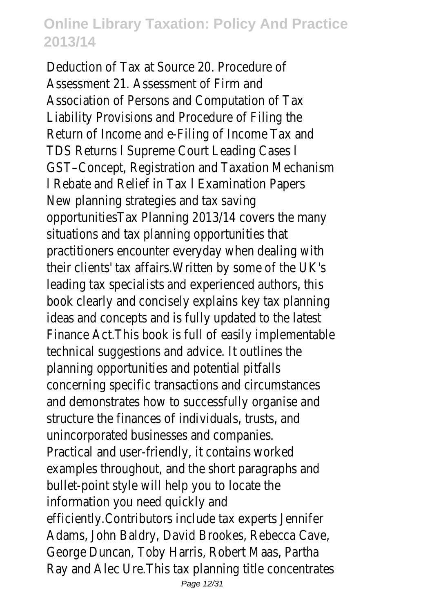Deduction of Tax at Source 20. Procedure of Assessment 21. Assessment of Firm and Association of Persons and Computation of Tax Liability Provisions and Procedure of Filing the Return of Income and e-Filing of Income Tax and TDS Returns l Supreme Court Leading Cases l GST–Concept, Registration and Taxation Mechanism l Rebate and Relief in Tax l Examination Papers New planning strategies and tax saving opportunitiesTax Planning 2013/14 covers the many situations and tax planning opportunities that practitioners encounter everyday when dealing with their clients' tax affairs.Written by some of the UK's leading tax specialists and experienced authors, this book clearly and concisely explains key tax planning ideas and concepts and is fully updated to the latest Finance Act.This book is full of easily implementable technical suggestions and advice. It outlines the planning opportunities and potential pitfalls concerning specific transactions and circumstances and demonstrates how to successfully organise and structure the finances of individuals, trusts, and unincorporated businesses and companies. Practical and user-friendly, it contains worked examples throughout, and the short paragraphs and bullet-point style will help you to locate the information you need quickly and efficiently.Contributors include tax experts Jennifer Adams, John Baldry, David Brookes, Rebecca Cave, George Duncan, Toby Harris, Robert Maas, Partha Ray and Alec Ure.This tax planning title concentrates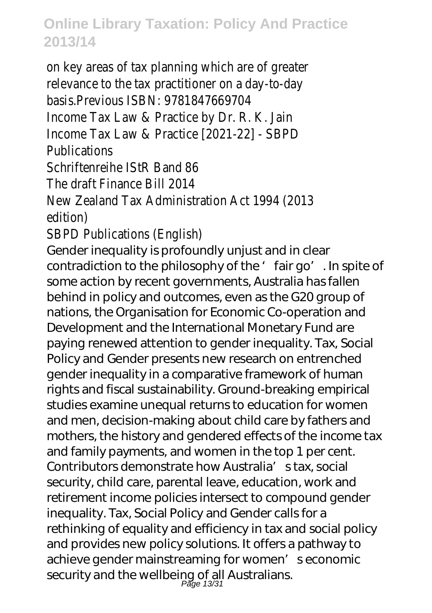on key areas of tax planning which are of greater relevance to the tax practitioner on a day-to-day basis.Previous ISBN: 9781847669704 Income Tax Law & Practice by Dr. R. K. Jain Income Tax Law & Practice [2021-22] - SBPD **Publications** Schriftenreihe IStR Band 86 The draft Finance Bill 2014 New Zealand Tax Administration Act 1994 (2013 edition) SBPD Publications (English) Gender inequality is profoundly unjust and in clear contradiction to the philosophy of the ' fair go'. In spite of some action by recent governments, Australia has fallen behind in policy and outcomes, even as the G20 group of nations, the Organisation for Economic Co-operation and Development and the International Monetary Fund are paying renewed attention to gender inequality. Tax, Social Policy and Gender presents new research on entrenched gender inequality in a comparative framework of human rights and fiscal sustainability. Ground-breaking empirical studies examine unequal returns to education for women and men, decision-making about child care by fathers and mothers, the history and gendered effects of the income tax and family payments, and women in the top 1 per cent. Contributors demonstrate how Australia's tax, social security, child care, parental leave, education, work and retirement income policies intersect to compound gender inequality. Tax, Social Policy and Gender calls for a rethinking of equality and efficiency in tax and social policy and provides new policy solutions. It offers a pathway to achieve gender mainstreaming for women' seconomic security and the wellbeing of all Australians.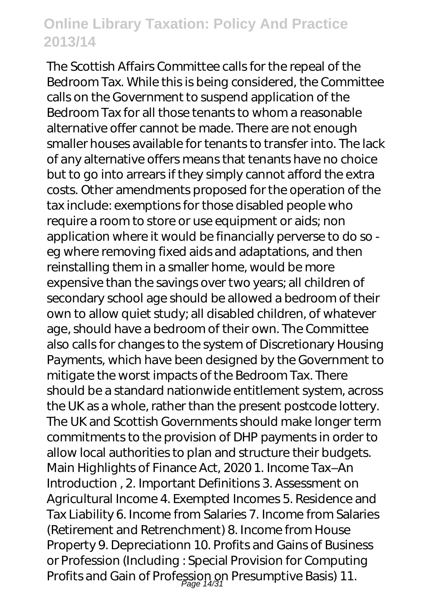The Scottish Affairs Committee calls for the repeal of the Bedroom Tax. While this is being considered, the Committee calls on the Government to suspend application of the Bedroom Tax for all those tenants to whom a reasonable alternative offer cannot be made. There are not enough smaller houses available for tenants to transfer into. The lack of any alternative offers means that tenants have no choice but to go into arrears if they simply cannot afford the extra costs. Other amendments proposed for the operation of the tax include: exemptions for those disabled people who require a room to store or use equipment or aids; non application where it would be financially perverse to do so eg where removing fixed aids and adaptations, and then reinstalling them in a smaller home, would be more expensive than the savings over two years; all children of secondary school age should be allowed a bedroom of their own to allow quiet study; all disabled children, of whatever age, should have a bedroom of their own. The Committee also calls for changes to the system of Discretionary Housing Payments, which have been designed by the Government to mitigate the worst impacts of the Bedroom Tax. There should be a standard nationwide entitlement system, across the UK as a whole, rather than the present postcode lottery. The UK and Scottish Governments should make longer term commitments to the provision of DHP payments in order to allow local authorities to plan and structure their budgets. Main Highlights of Finance Act, 2020 1. Income Tax–An Introduction , 2. Important Definitions 3. Assessment on Agricultural Income 4. Exempted Incomes 5. Residence and Tax Liability 6. Income from Salaries 7. Income from Salaries (Retirement and Retrenchment) 8. Income from House Property 9. Depreciationn 10. Profits and Gains of Business or Profession (Including : Special Provision for Computing Profits and Gain of Profession on Presumptive Basis) 11.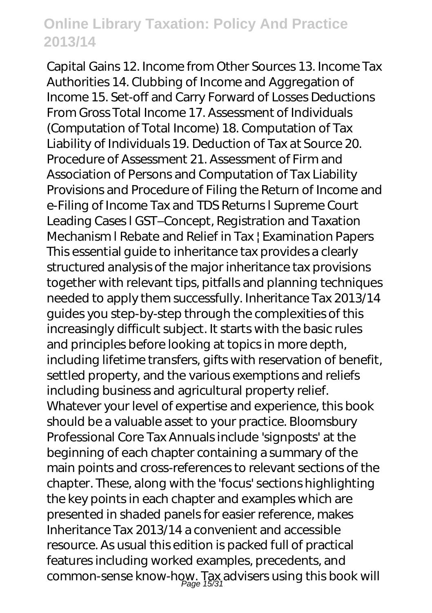Capital Gains 12. Income from Other Sources 13. Income Tax Authorities 14. Clubbing of Income and Aggregation of Income 15. Set-off and Carry Forward of Losses Deductions From Gross Total Income 17. Assessment of Individuals (Computation of Total Income) 18. Computation of Tax Liability of Individuals 19. Deduction of Tax at Source 20. Procedure of Assessment 21. Assessment of Firm and Association of Persons and Computation of Tax Liability Provisions and Procedure of Filing the Return of Income and e-Filing of Income Tax and TDS Returns l Supreme Court Leading Cases l GST–Concept, Registration and Taxation Mechanism l Rebate and Relief in Tax | Examination Papers This essential guide to inheritance tax provides a clearly structured analysis of the major inheritance tax provisions together with relevant tips, pitfalls and planning techniques needed to apply them successfully. Inheritance Tax 2013/14 guides you step-by-step through the complexities of this increasingly difficult subject. It starts with the basic rules and principles before looking at topics in more depth, including lifetime transfers, gifts with reservation of benefit, settled property, and the various exemptions and reliefs including business and agricultural property relief. Whatever your level of expertise and experience, this book should be a valuable asset to your practice. Bloomsbury Professional Core Tax Annuals include 'signposts' at the beginning of each chapter containing a summary of the main points and cross-references to relevant sections of the chapter. These, along with the 'focus' sections highlighting the key points in each chapter and examples which are presented in shaded panels for easier reference, makes Inheritance Tax 2013/14 a convenient and accessible resource. As usual this edition is packed full of practical features including worked examples, precedents, and common-sense know-how. Tax advisers using this book will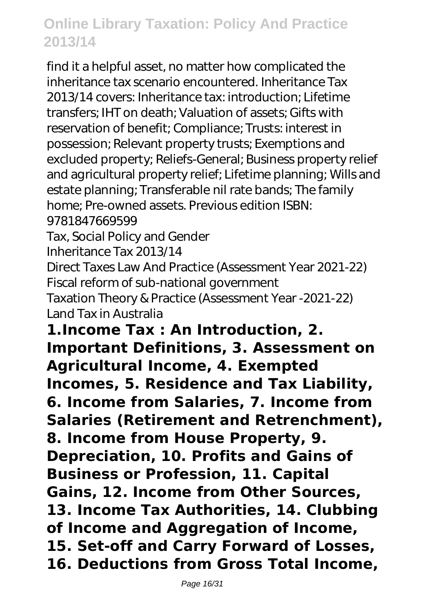find it a helpful asset, no matter how complicated the inheritance tax scenario encountered. Inheritance Tax 2013/14 covers: Inheritance tax: introduction; Lifetime transfers; IHT on death; Valuation of assets; Gifts with reservation of benefit; Compliance; Trusts: interest in possession; Relevant property trusts; Exemptions and excluded property; Reliefs-General; Business property relief and agricultural property relief; Lifetime planning; Wills and estate planning; Transferable nil rate bands; The family home; Pre-owned assets. Previous edition ISBN:

9781847669599

Tax, Social Policy and Gender

Inheritance Tax 2013/14

Direct Taxes Law And Practice (Assessment Year 2021-22) Fiscal reform of sub-national government

Taxation Theory & Practice (Assessment Year -2021-22) Land Tax in Australia

**1.Income Tax : An Introduction, 2. Important Definitions, 3. Assessment on Agricultural Income, 4. Exempted Incomes, 5. Residence and Tax Liability, 6. Income from Salaries, 7. Income from Salaries (Retirement and Retrenchment), 8. Income from House Property, 9. Depreciation, 10. Profits and Gains of Business or Profession, 11. Capital Gains, 12. Income from Other Sources, 13. Income Tax Authorities, 14. Clubbing of Income and Aggregation of Income, 15. Set-off and Carry Forward of Losses, 16. Deductions from Gross Total Income,**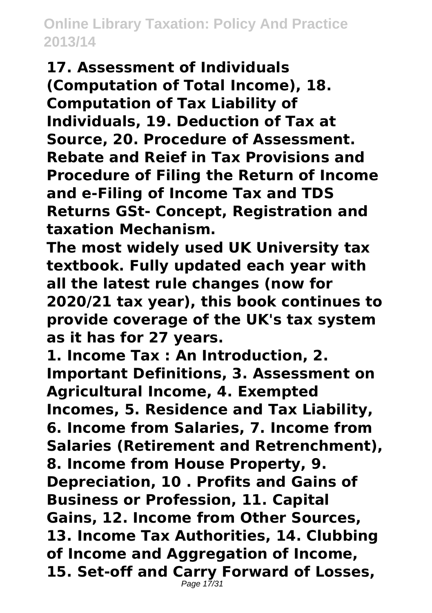**17. Assessment of Individuals (Computation of Total Income), 18. Computation of Tax Liability of Individuals, 19. Deduction of Tax at Source, 20. Procedure of Assessment. Rebate and Reief in Tax Provisions and Procedure of Filing the Return of Income and e-Filing of Income Tax and TDS Returns GSt- Concept, Registration and taxation Mechanism.**

**The most widely used UK University tax textbook. Fully updated each year with all the latest rule changes (now for 2020/21 tax year), this book continues to provide coverage of the UK's tax system as it has for 27 years.**

**1. Income Tax : An Introduction, 2. Important Definitions, 3. Assessment on Agricultural Income, 4. Exempted Incomes, 5. Residence and Tax Liability, 6. Income from Salaries, 7. Income from Salaries (Retirement and Retrenchment), 8. Income from House Property, 9. Depreciation, 10 . Profits and Gains of Business or Profession, 11. Capital Gains, 12. Income from Other Sources, 13. Income Tax Authorities, 14. Clubbing of Income and Aggregation of Income, 15. Set-off and Carry Forward of Losses,** Page 17/31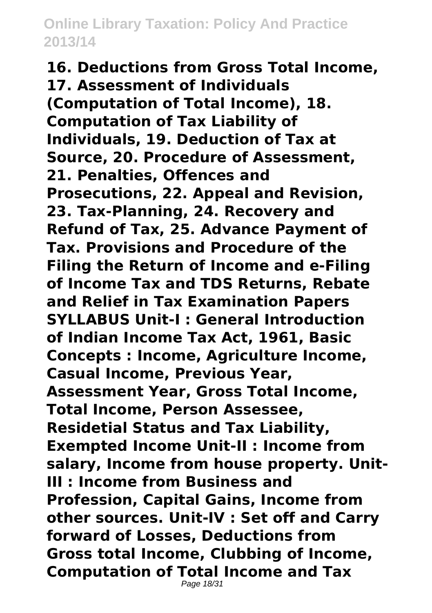**16. Deductions from Gross Total Income, 17. Assessment of Individuals (Computation of Total Income), 18. Computation of Tax Liability of Individuals, 19. Deduction of Tax at Source, 20. Procedure of Assessment, 21. Penalties, Offences and Prosecutions, 22. Appeal and Revision, 23. Tax-Planning, 24. Recovery and Refund of Tax, 25. Advance Payment of Tax. Provisions and Procedure of the Filing the Return of Income and e-Filing of Income Tax and TDS Returns, Rebate and Relief in Tax Examination Papers SYLLABUS Unit-I : General Introduction of Indian Income Tax Act, 1961, Basic Concepts : Income, Agriculture Income, Casual Income, Previous Year, Assessment Year, Gross Total Income, Total Income, Person Assessee, Residetial Status and Tax Liability, Exempted Income Unit-II : Income from salary, Income from house property. Unit-III : Income from Business and Profession, Capital Gains, Income from other sources. Unit-IV : Set off and Carry forward of Losses, Deductions from Gross total Income, Clubbing of Income, Computation of Total Income and Tax**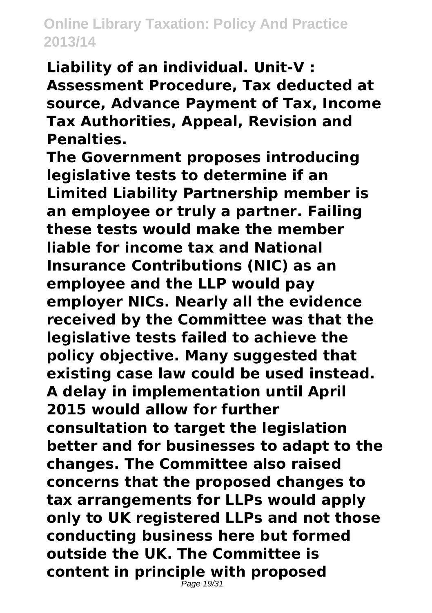**Liability of an individual. Unit-V : Assessment Procedure, Tax deducted at source, Advance Payment of Tax, Income Tax Authorities, Appeal, Revision and Penalties.**

**The Government proposes introducing legislative tests to determine if an Limited Liability Partnership member is an employee or truly a partner. Failing these tests would make the member liable for income tax and National Insurance Contributions (NIC) as an employee and the LLP would pay employer NICs. Nearly all the evidence received by the Committee was that the legislative tests failed to achieve the policy objective. Many suggested that existing case law could be used instead. A delay in implementation until April 2015 would allow for further consultation to target the legislation better and for businesses to adapt to the changes. The Committee also raised concerns that the proposed changes to tax arrangements for LLPs would apply only to UK registered LLPs and not those conducting business here but formed outside the UK. The Committee is content in principle with proposed** Page 19/31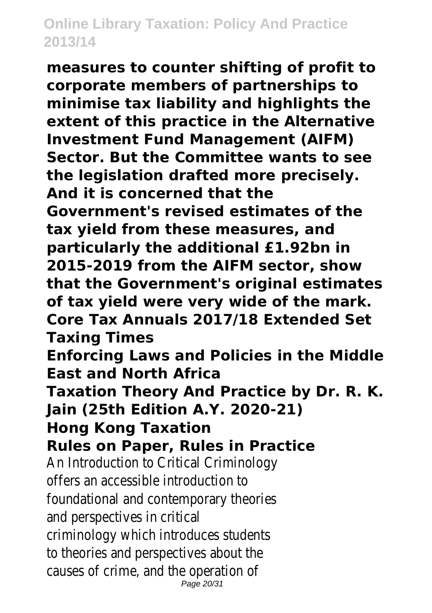**measures to counter shifting of profit to corporate members of partnerships to minimise tax liability and highlights the extent of this practice in the Alternative Investment Fund Management (AIFM) Sector. But the Committee wants to see the legislation drafted more precisely. And it is concerned that the Government's revised estimates of the tax yield from these measures, and particularly the additional £1.92bn in 2015-2019 from the AIFM sector, show that the Government's original estimates of tax yield were very wide of the mark. Core Tax Annuals 2017/18 Extended Set Taxing Times Enforcing Laws and Policies in the Middle East and North Africa Taxation Theory And Practice by Dr. R. K. Jain (25th Edition A.Y. 2020-21) Hong Kong Taxation Rules on Paper, Rules in Practice** An Introduction to Critical Criminology offers an accessible introduction to foundational and contemporary theories and perspectives in critical criminology which introduces students to theories and perspectives about the causes of crime, and the operation of Page 20/31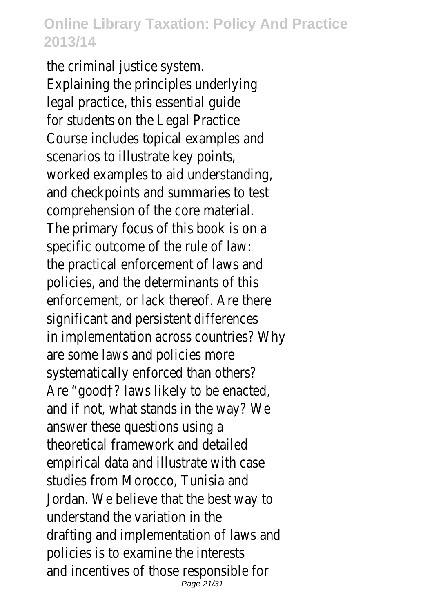the criminal justice system. Explaining the principles underlying legal practice, this essential guide for students on the Legal Practice Course includes topical examples and scenarios to illustrate key points, worked examples to aid understanding, and checkpoints and summaries to test comprehension of the core material. The primary focus of this book is on a specific outcome of the rule of law: the practical enforcement of laws and policies, and the determinants of this enforcement, or lack thereof. Are there significant and persistent differences in implementation across countries? Why are some laws and policies more systematically enforced than others? Are "good†? laws likely to be enacted, and if not, what stands in the way? We answer these questions using a theoretical framework and detailed empirical data and illustrate with case studies from Morocco, Tunisia and Jordan. We believe that the best way to understand the variation in the drafting and implementation of laws and policies is to examine the interests and incentives of those responsible for Page 21/31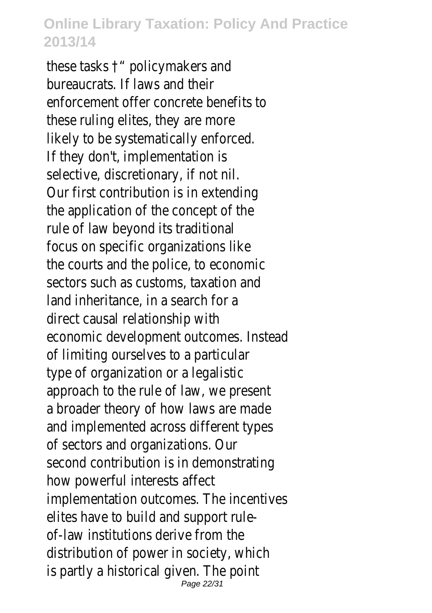these tasks †" policymakers and bureaucrats. If laws and their enforcement offer concrete benefits to these ruling elites, they are more likely to be systematically enforced. If they don't, implementation is selective, discretionary, if not nil. Our first contribution is in extending the application of the concept of the rule of law beyond its traditional focus on specific organizations like the courts and the police, to economic sectors such as customs, taxation and land inheritance, in a search for a direct causal relationship with economic development outcomes. Instead of limiting ourselves to a particular type of organization or a legalistic approach to the rule of law, we present a broader theory of how laws are made and implemented across different types of sectors and organizations. Our second contribution is in demonstrating how powerful interests affect implementation outcomes. The incentives elites have to build and support ruleof-law institutions derive from the distribution of power in society, which is partly a historical given. The point Page 22/31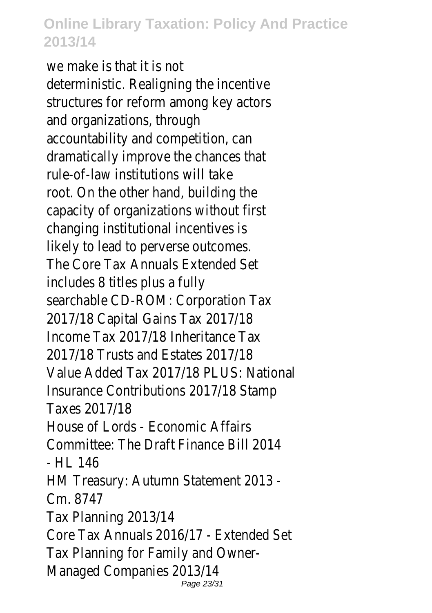we make is that it is not deterministic. Realigning the incentive structures for reform among key actors and organizations, through accountability and competition, can dramatically improve the chances that rule-of-law institutions will take root. On the other hand, building the capacity of organizations without first changing institutional incentives is likely to lead to perverse outcomes. The Core Tax Annuals Extended Set includes 8 titles plus a fully searchable CD-ROM: Corporation Tax 2017/18 Capital Gains Tax 2017/18 Income Tax 2017/18 Inheritance Tax 2017/18 Trusts and Estates 2017/18 Value Added Tax 2017/18 PLUS: National Insurance Contributions 2017/18 Stamp Taxes 2017/18 House of Lords - Economic Affairs Committee: The Draft Finance Bill 2014 - HL 146 HM Treasury: Autumn Statement 2013 - Cm. 8747 Tax Planning 2013/14 Core Tax Annuals 2016/17 - Extended Set Tax Planning for Family and Owner-Managed Companies 2013/14 Page 23/31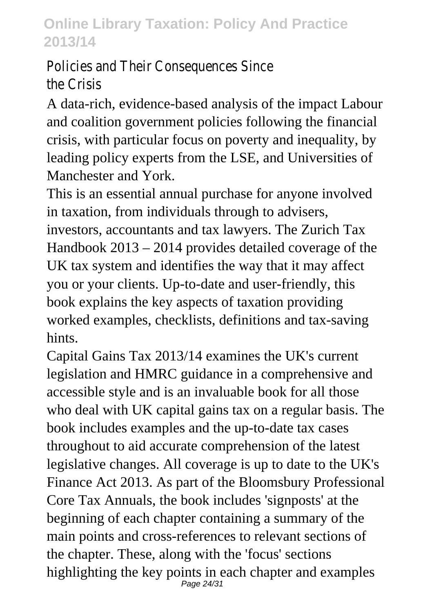Policies and Their Consequences Since the Crisis

A data-rich, evidence-based analysis of the impact Labour and coalition government policies following the financial crisis, with particular focus on poverty and inequality, by leading policy experts from the LSE, and Universities of Manchester and York.

This is an essential annual purchase for anyone involved in taxation, from individuals through to advisers, investors, accountants and tax lawyers. The Zurich Tax Handbook 2013 – 2014 provides detailed coverage of the UK tax system and identifies the way that it may affect you or your clients. Up-to-date and user-friendly, this book explains the key aspects of taxation providing worked examples, checklists, definitions and tax-saving hints.

Capital Gains Tax 2013/14 examines the UK's current legislation and HMRC guidance in a comprehensive and accessible style and is an invaluable book for all those who deal with UK capital gains tax on a regular basis. The book includes examples and the up-to-date tax cases throughout to aid accurate comprehension of the latest legislative changes. All coverage is up to date to the UK's Finance Act 2013. As part of the Bloomsbury Professional Core Tax Annuals, the book includes 'signposts' at the beginning of each chapter containing a summary of the main points and cross-references to relevant sections of the chapter. These, along with the 'focus' sections highlighting the key points in each chapter and examples Page 24/31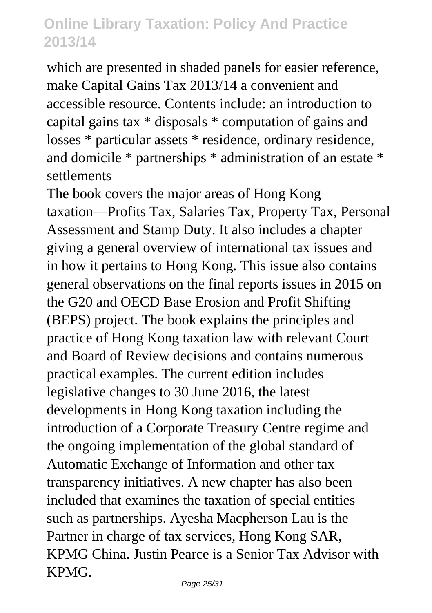which are presented in shaded panels for easier reference, make Capital Gains Tax 2013/14 a convenient and accessible resource. Contents include: an introduction to capital gains tax \* disposals \* computation of gains and losses \* particular assets \* residence, ordinary residence, and domicile \* partnerships \* administration of an estate \* settlements

The book covers the major areas of Hong Kong taxation—Profits Tax, Salaries Tax, Property Tax, Personal Assessment and Stamp Duty. It also includes a chapter giving a general overview of international tax issues and in how it pertains to Hong Kong. This issue also contains general observations on the final reports issues in 2015 on the G20 and OECD Base Erosion and Profit Shifting (BEPS) project. The book explains the principles and practice of Hong Kong taxation law with relevant Court and Board of Review decisions and contains numerous practical examples. The current edition includes legislative changes to 30 June 2016, the latest developments in Hong Kong taxation including the introduction of a Corporate Treasury Centre regime and the ongoing implementation of the global standard of Automatic Exchange of Information and other tax transparency initiatives. A new chapter has also been included that examines the taxation of special entities such as partnerships. Ayesha Macpherson Lau is the Partner in charge of tax services, Hong Kong SAR, KPMG China. Justin Pearce is a Senior Tax Advisor with KPMG.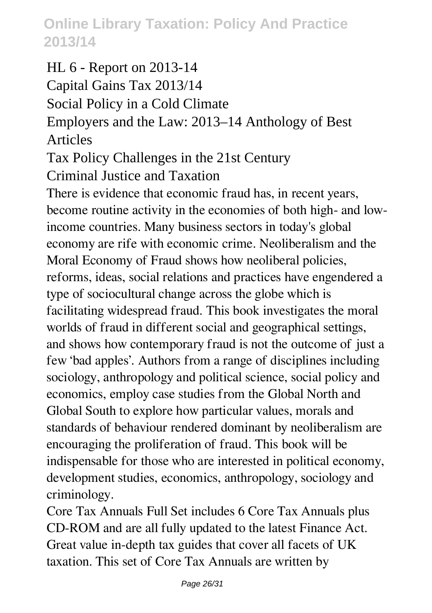HL 6 - Report on 2013-14 Capital Gains Tax 2013/14 Social Policy in a Cold Climate Employers and the Law: 2013–14 Anthology of Best Articles

Tax Policy Challenges in the 21st Century

Criminal Justice and Taxation

There is evidence that economic fraud has, in recent years, become routine activity in the economies of both high- and lowincome countries. Many business sectors in today's global economy are rife with economic crime. Neoliberalism and the Moral Economy of Fraud shows how neoliberal policies, reforms, ideas, social relations and practices have engendered a type of sociocultural change across the globe which is facilitating widespread fraud. This book investigates the moral worlds of fraud in different social and geographical settings, and shows how contemporary fraud is not the outcome of just a few 'bad apples'. Authors from a range of disciplines including sociology, anthropology and political science, social policy and economics, employ case studies from the Global North and Global South to explore how particular values, morals and standards of behaviour rendered dominant by neoliberalism are encouraging the proliferation of fraud. This book will be indispensable for those who are interested in political economy, development studies, economics, anthropology, sociology and criminology.

Core Tax Annuals Full Set includes 6 Core Tax Annuals plus CD-ROM and are all fully updated to the latest Finance Act. Great value in-depth tax guides that cover all facets of UK taxation. This set of Core Tax Annuals are written by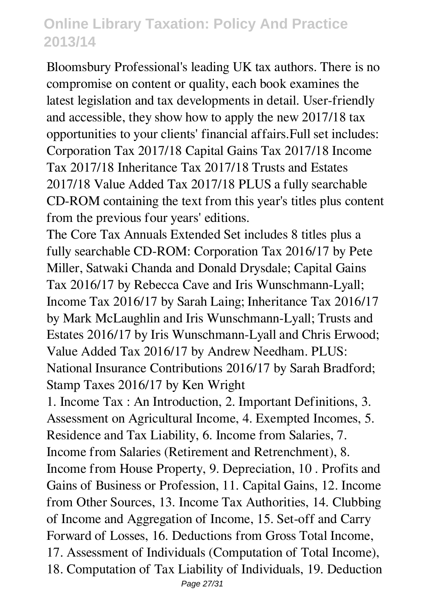Bloomsbury Professional's leading UK tax authors. There is no compromise on content or quality, each book examines the latest legislation and tax developments in detail. User-friendly and accessible, they show how to apply the new 2017/18 tax opportunities to your clients' financial affairs.Full set includes: Corporation Tax 2017/18 Capital Gains Tax 2017/18 Income Tax 2017/18 Inheritance Tax 2017/18 Trusts and Estates 2017/18 Value Added Tax 2017/18 PLUS a fully searchable CD-ROM containing the text from this year's titles plus content from the previous four years' editions.

The Core Tax Annuals Extended Set includes 8 titles plus a fully searchable CD-ROM: Corporation Tax 2016/17 by Pete Miller, Satwaki Chanda and Donald Drysdale; Capital Gains Tax 2016/17 by Rebecca Cave and Iris Wunschmann-Lyall; Income Tax 2016/17 by Sarah Laing; Inheritance Tax 2016/17 by Mark McLaughlin and Iris Wunschmann-Lyall; Trusts and Estates 2016/17 by Iris Wunschmann-Lyall and Chris Erwood; Value Added Tax 2016/17 by Andrew Needham. PLUS: National Insurance Contributions 2016/17 by Sarah Bradford; Stamp Taxes 2016/17 by Ken Wright

1. Income Tax : An Introduction, 2. Important Definitions, 3. Assessment on Agricultural Income, 4. Exempted Incomes, 5. Residence and Tax Liability, 6. Income from Salaries, 7. Income from Salaries (Retirement and Retrenchment), 8. Income from House Property, 9. Depreciation, 10 . Profits and Gains of Business or Profession, 11. Capital Gains, 12. Income from Other Sources, 13. Income Tax Authorities, 14. Clubbing of Income and Aggregation of Income, 15. Set-off and Carry Forward of Losses, 16. Deductions from Gross Total Income, 17. Assessment of Individuals (Computation of Total Income), 18. Computation of Tax Liability of Individuals, 19. Deduction Page 27/31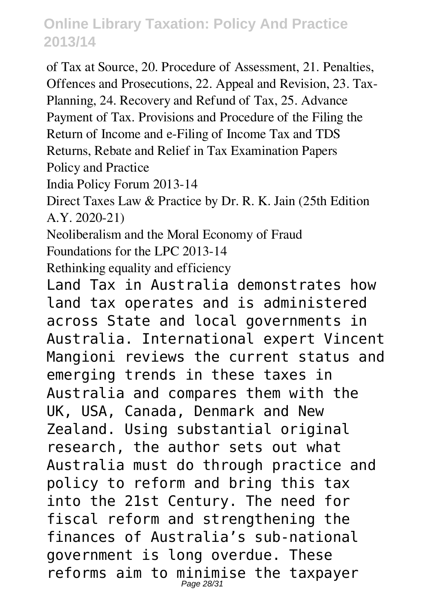of Tax at Source, 20. Procedure of Assessment, 21. Penalties, Offences and Prosecutions, 22. Appeal and Revision, 23. Tax-Planning, 24. Recovery and Refund of Tax, 25. Advance Payment of Tax. Provisions and Procedure of the Filing the Return of Income and e-Filing of Income Tax and TDS Returns, Rebate and Relief in Tax Examination Papers Policy and Practice

India Policy Forum 2013-14

Direct Taxes Law & Practice by Dr. R. K. Jain (25th Edition A.Y. 2020-21)

Neoliberalism and the Moral Economy of Fraud

Foundations for the LPC 2013-14

Rethinking equality and efficiency

Land Tax in Australia demonstrates how land tax operates and is administered across State and local governments in Australia. International expert Vincent Mangioni reviews the current status and emerging trends in these taxes in Australia and compares them with the UK, USA, Canada, Denmark and New Zealand. Using substantial original research, the author sets out what Australia must do through practice and policy to reform and bring this tax into the 21st Century. The need for fiscal reform and strengthening the finances of Australia's sub-national government is long overdue. These reforms aim to minimise the taxpayer Page 28/31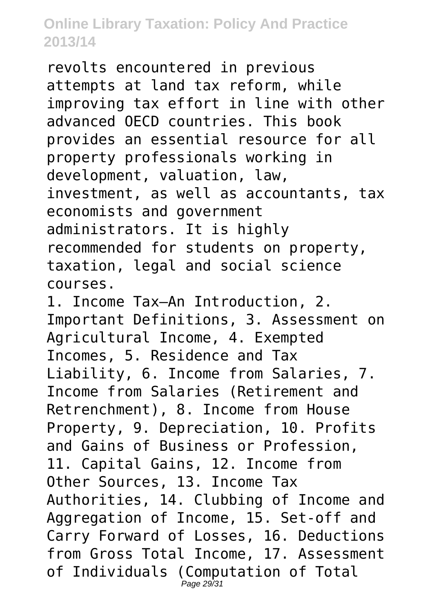revolts encountered in previous attempts at land tax reform, while improving tax effort in line with other advanced OECD countries. This book provides an essential resource for all property professionals working in development, valuation, law, investment, as well as accountants, tax economists and government administrators. It is highly recommended for students on property, taxation, legal and social science courses.

1. Income Tax–An Introduction, 2. Important Definitions, 3. Assessment on Agricultural Income, 4. Exempted Incomes, 5. Residence and Tax Liability, 6. Income from Salaries, 7. Income from Salaries (Retirement and Retrenchment), 8. Income from House Property, 9. Depreciation, 10. Profits and Gains of Business or Profession, 11. Capital Gains, 12. Income from Other Sources, 13. Income Tax Authorities, 14. Clubbing of Income and Aggregation of Income, 15. Set-off and Carry Forward of Losses, 16. Deductions from Gross Total Income, 17. Assessment of Individuals (Computation of Total Page 29/31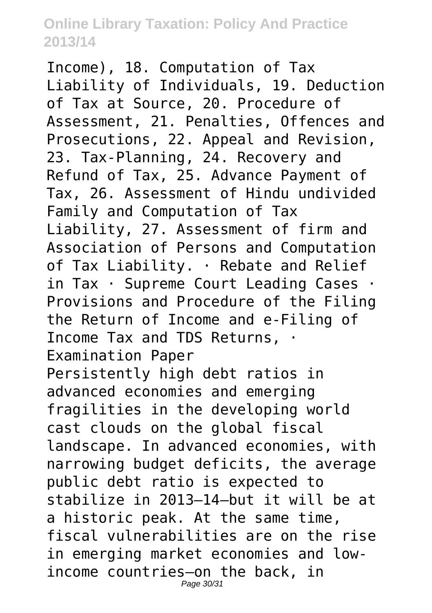Income), 18. Computation of Tax Liability of Individuals, 19. Deduction of Tax at Source, 20. Procedure of Assessment, 21. Penalties, Offences and Prosecutions, 22. Appeal and Revision, 23. Tax-Planning, 24. Recovery and Refund of Tax, 25. Advance Payment of Tax, 26. Assessment of Hindu undivided Family and Computation of Tax Liability, 27. Assessment of firm and Association of Persons and Computation of Tax Liability. · Rebate and Relief in Tax · Supreme Court Leading Cases · Provisions and Procedure of the Filing the Return of Income and e-Filing of Income Tax and TDS Returns, · Examination Paper Persistently high debt ratios in advanced economies and emerging fragilities in the developing world cast clouds on the global fiscal landscape. In advanced economies, with narrowing budget deficits, the average public debt ratio is expected to stabilize in 2013–14—but it will be at a historic peak. At the same time, fiscal vulnerabilities are on the rise in emerging market economies and lowincome countries—on the back, in Page 30/31